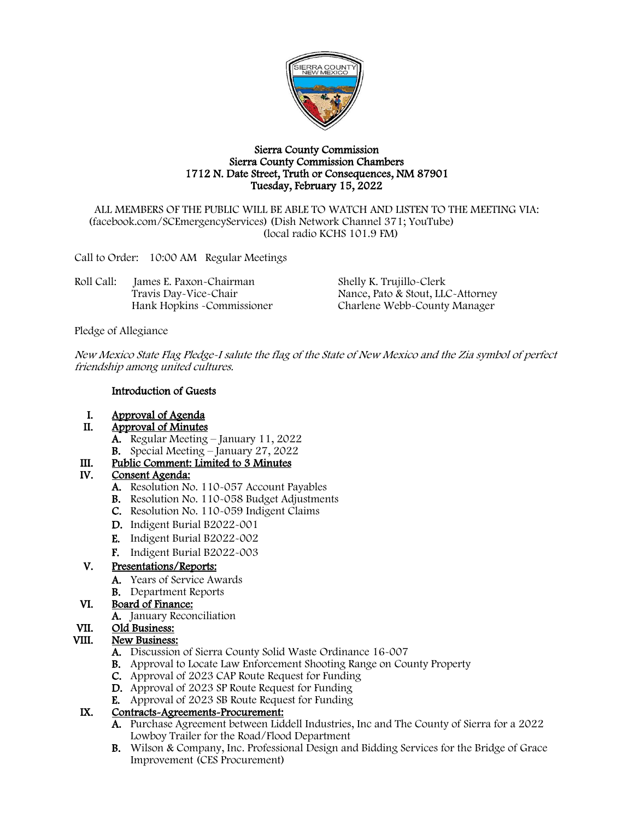

#### Sierra County Commission Sierra County Commission Chambers 1712 N. Date Street, Truth or Consequences, NM 87901 Tuesday, February 15, 2022

ALL MEMBERS OF THE PUBLIC WILL BE ABLE TO WATCH AND LISTEN TO THE MEETING VIA: (facebook.com/SCEmergencyServices) (Dish Network Channel 371; YouTube) (local radio KCHS 101.9 FM)

Call to Order: 10:00 AM Regular Meetings

| Roll Call: | James E. Paxon-Chairman     | Shelly K. Trujillo-Clerk          |
|------------|-----------------------------|-----------------------------------|
|            | Travis Day-Vice-Chair       | Nance, Pato & Stout, LLC-Attorney |
|            | Hank Hopkins - Commissioner | Charlene Webb-County Manager      |

Pledge of Allegiance

New Mexico State Flag Pledge-I salute the flag of the State of New Mexico and the Zia symbol of perfect friendship among united cultures.

#### Introduction of Guests

- I. Approval of Agenda<br>II. Approval of Minutes
	- Approval of Minutes
		- A. Regular Meeting January 11, 2022
		- B. Special Meeting January 27, 2022

# III. Public Comment: Limited to 3 Minutes<br>IV. Consent Agenda:

### Consent Agenda:

- A. Resolution No. 110-057 Account Payables
- B. Resolution No. 110-058 Budget Adjustments
- C. Resolution No. 110-059 Indigent Claims
- D. Indigent Burial B2022-001
- E. Indigent Burial B2022-002
- F. Indigent Burial B2022-003

### V. Presentations/Reports:

- A. Years of Service Awards
- B. Department Reports

### VI. Board of Finance:

A. January Reconciliation

## VII. Old Business:

### VIII. New Business:

- A. Discussion of Sierra County Solid Waste Ordinance 16-007
- B. Approval to Locate Law Enforcement Shooting Range on County Property
- C. Approval of 2023 CAP Route Request for Funding
- D. Approval of 2023 SP Route Request for Funding
- E. Approval of 2023 SB Route Request for Funding

### IX. Contracts-Agreements-Procurement:

- A. Purchase Agreement between Liddell Industries, Inc and The County of Sierra for a 2022 Lowboy Trailer for the Road/Flood Department
- B. Wilson & Company, Inc. Professional Design and Bidding Services for the Bridge of Grace Improvement (CES Procurement)